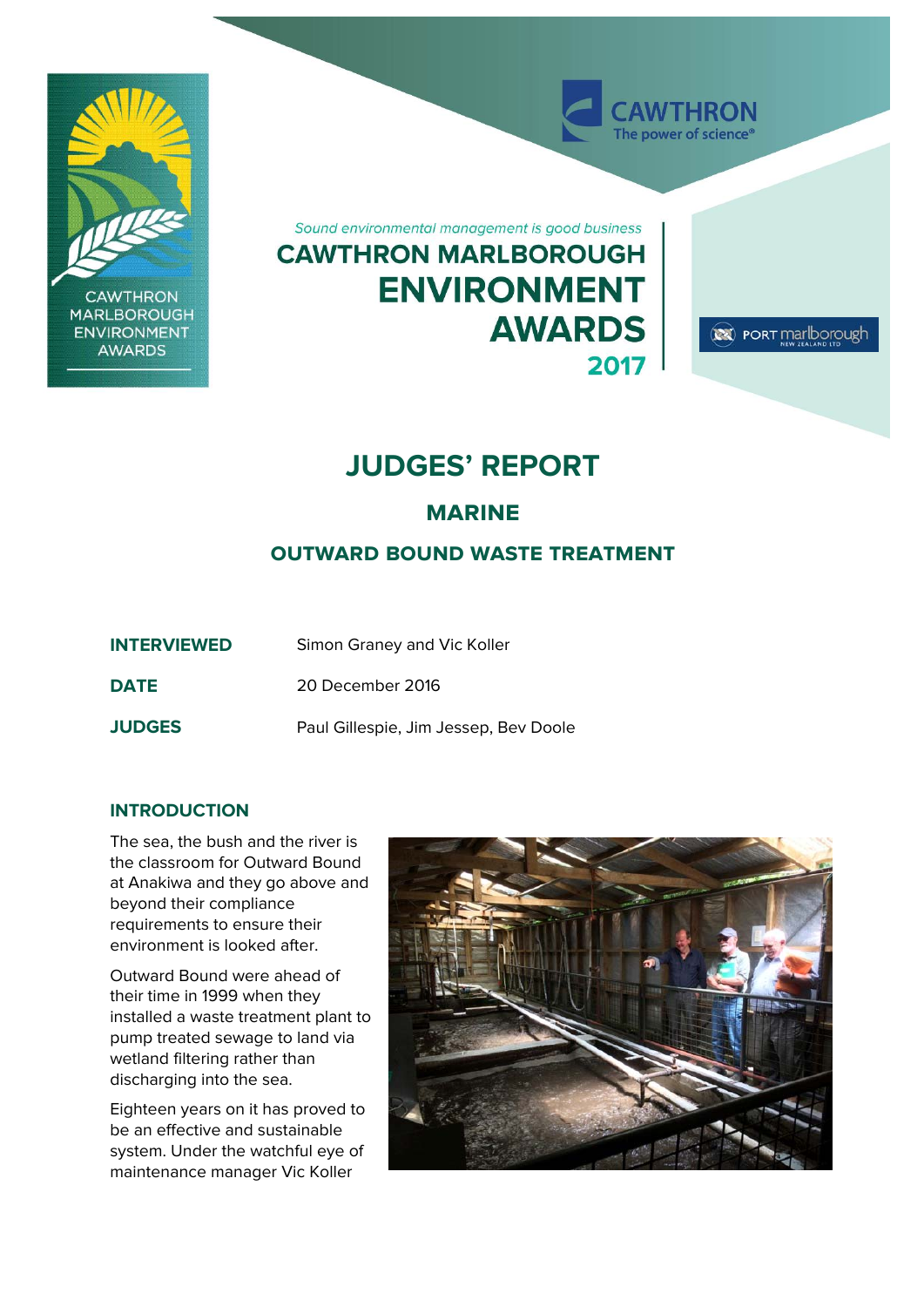

# **JUDGES' REPORT**

# **marine**

# **outward bound waste treatment**

| <b>INTERVIEWED</b> | Simon Graney and Vic Koller           |
|--------------------|---------------------------------------|
| <b>DATE</b>        | 20 December 2016                      |
| <b>JUDGES</b>      | Paul Gillespie, Jim Jessep, Bev Doole |

## **INTRODUCTION**

The sea, the bush and the river is the classroom for Outward Bound at Anakiwa and they go above and beyond their compliance requirements to ensure their environment is looked after.

Outward Bound were ahead of their time in 1999 when they installed a waste treatment plant to pump treated sewage to land via wetland filtering rather than discharging into the sea.

Eighteen years on it has proved to be an effective and sustainable system. Under the watchful eye of maintenance manager Vic Koller

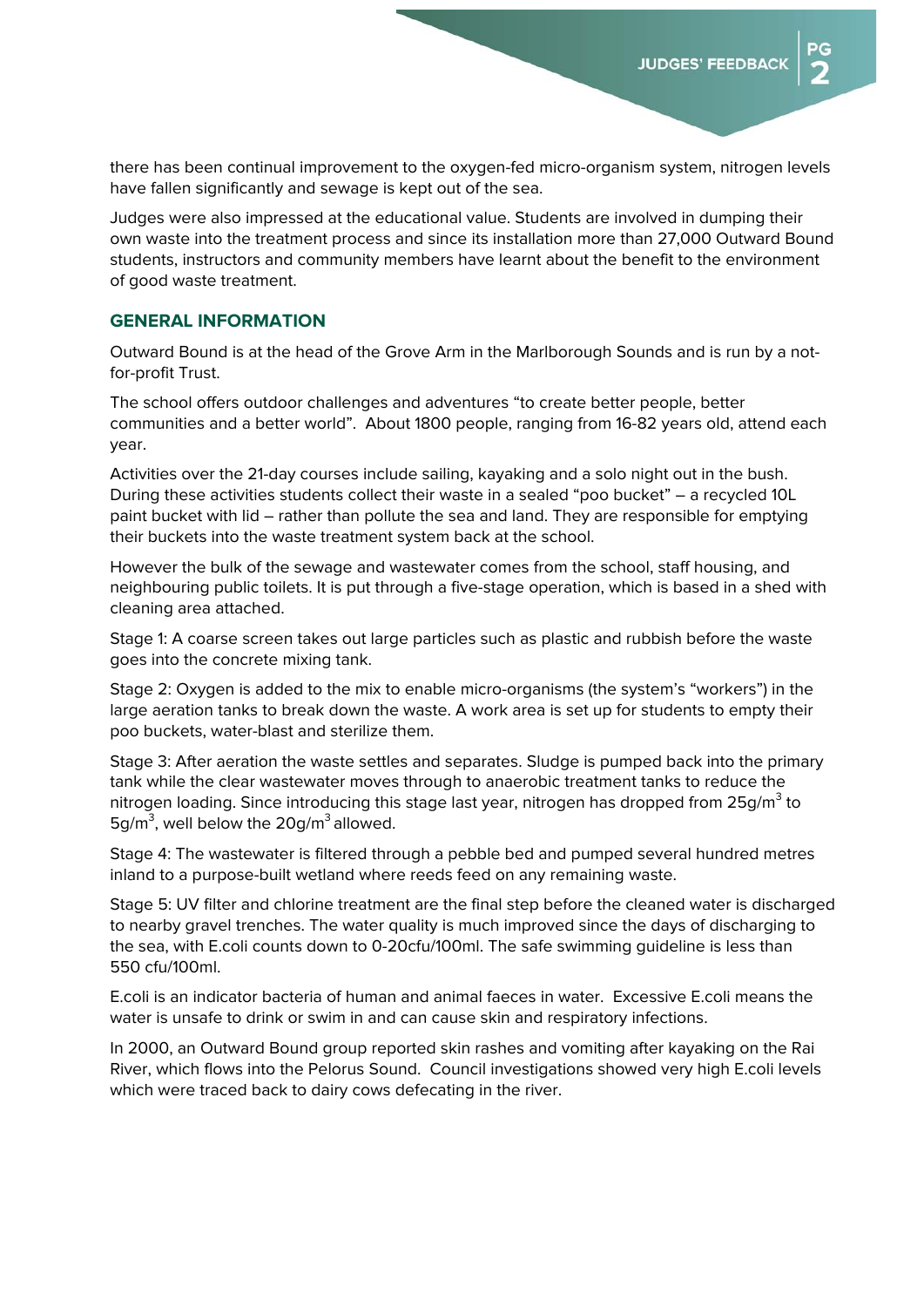DC.

there has been continual improvement to the oxygen-fed micro-organism system, nitrogen levels have fallen significantly and sewage is kept out of the sea.

Judges were also impressed at the educational value. Students are involved in dumping their own waste into the treatment process and since its installation more than 27,000 Outward Bound students, instructors and community members have learnt about the benefit to the environment of good waste treatment.

#### **GENERAL INFORMATION**

Outward Bound is at the head of the Grove Arm in the Marlborough Sounds and is run by a notfor-profit Trust.

The school offers outdoor challenges and adventures "to create better people, better communities and a better world". About 1800 people, ranging from 16-82 years old, attend each year.

Activities over the 21-day courses include sailing, kayaking and a solo night out in the bush. During these activities students collect their waste in a sealed "poo bucket" – a recycled 10L paint bucket with lid – rather than pollute the sea and land. They are responsible for emptying their buckets into the waste treatment system back at the school.

However the bulk of the sewage and wastewater comes from the school, staff housing, and neighbouring public toilets. It is put through a five-stage operation, which is based in a shed with cleaning area attached.

Stage 1: A coarse screen takes out large particles such as plastic and rubbish before the waste goes into the concrete mixing tank.

Stage 2: Oxygen is added to the mix to enable micro-organisms (the system's "workers") in the large aeration tanks to break down the waste. A work area is set up for students to empty their poo buckets, water-blast and sterilize them.

Stage 3: After aeration the waste settles and separates. Sludge is pumped back into the primary tank while the clear wastewater moves through to anaerobic treatment tanks to reduce the nitrogen loading. Since introducing this stage last year, nitrogen has dropped from 25g/m $^3$  to  $5g/m<sup>3</sup>$ , well below the 20g/m<sup>3</sup> allowed.

Stage 4: The wastewater is filtered through a pebble bed and pumped several hundred metres inland to a purpose-built wetland where reeds feed on any remaining waste.

Stage 5: UV filter and chlorine treatment are the final step before the cleaned water is discharged to nearby gravel trenches. The water quality is much improved since the days of discharging to the sea, with E.coli counts down to 0-20cfu/100ml. The safe swimming guideline is less than 550 cfu/100ml.

E.coli is an indicator bacteria of human and animal faeces in water. Excessive E.coli means the water is unsafe to drink or swim in and can cause skin and respiratory infections.

In 2000, an Outward Bound group reported skin rashes and vomiting after kayaking on the Rai River, which flows into the Pelorus Sound. Council investigations showed very high E.coli levels which were traced back to dairy cows defecating in the river.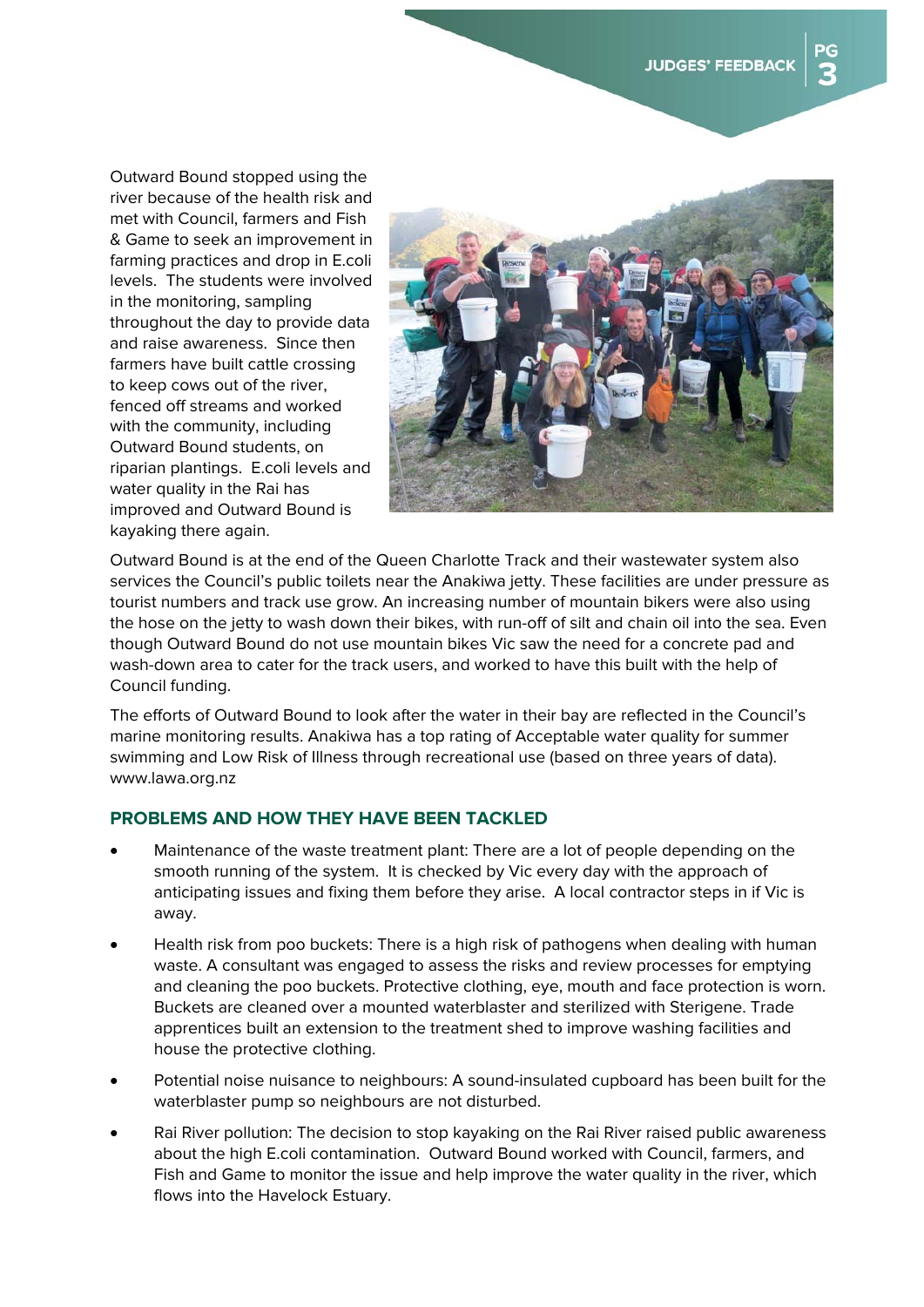Outward Bound stopped using the river because of the health risk and met with Council, farmers and Fish & Game to seek an improvement in farming practices and drop in E.coli levels. The students were involved in the monitoring, sampling throughout the day to provide data and raise awareness. Since then farmers have built cattle crossing to keep cows out of the river, fenced off streams and worked with the community, including Outward Bound students, on riparian plantings. E.coli levels and water quality in the Rai has improved and Outward Bound is kayaking there again.



Outward Bound is at the end of the Queen Charlotte Track and their wastewater system also services the Council's public toilets near the Anakiwa jetty. These facilities are under pressure as tourist numbers and track use grow. An increasing number of mountain bikers were also using the hose on the jetty to wash down their bikes, with run-off of silt and chain oil into the sea. Even though Outward Bound do not use mountain bikes Vic saw the need for a concrete pad and wash-down area to cater for the track users, and worked to have this built with the help of Council funding.

The efforts of Outward Bound to look after the water in their bay are reflected in the Council's marine monitoring results. Anakiwa has a top rating of Acceptable water quality for summer swimming and Low Risk of Illness through recreational use (based on three years of data). www.lawa.org.nz

## **PROBLEMS AND HOW THEY HAVE BEEN TACKLED**

- Maintenance of the waste treatment plant: There are a lot of people depending on the smooth running of the system. It is checked by Vic every day with the approach of anticipating issues and fixing them before they arise. A local contractor steps in if Vic is away.
- Health risk from poo buckets: There is a high risk of pathogens when dealing with human waste. A consultant was engaged to assess the risks and review processes for emptying and cleaning the poo buckets. Protective clothing, eye, mouth and face protection is worn. Buckets are cleaned over a mounted waterblaster and sterilized with Sterigene. Trade apprentices built an extension to the treatment shed to improve washing facilities and house the protective clothing.
- Potential noise nuisance to neighbours: A sound-insulated cupboard has been built for the waterblaster pump so neighbours are not disturbed.
- Rai River pollution: The decision to stop kayaking on the Rai River raised public awareness about the high E.coli contamination. Outward Bound worked with Council, farmers, and Fish and Game to monitor the issue and help improve the water quality in the river, which flows into the Havelock Estuary.